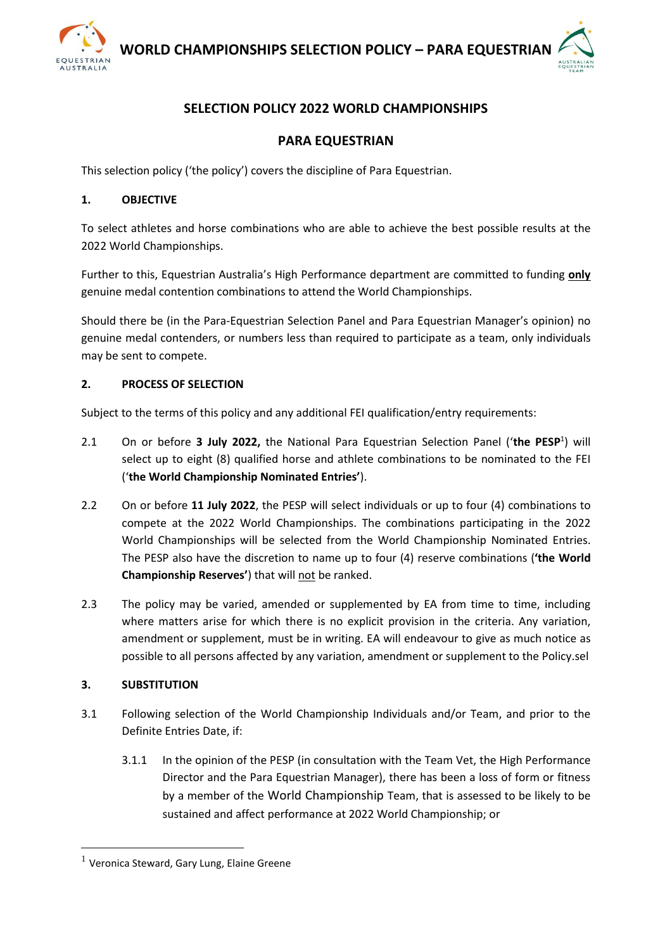

# **SELECTION POLICY 2022 WORLD CHAMPIONSHIPS**

## **PARA EQUESTRIAN**

This selection policy ('the policy') covers the discipline of Para Equestrian.

#### **1. OBJECTIVE**

To select athletes and horse combinations who are able to achieve the best possible results at the 2022 World Championships.

Further to this, Equestrian Australia's High Performance department are committed to funding **only** genuine medal contention combinations to attend the World Championships.

Should there be (in the Para-Equestrian Selection Panel and Para Equestrian Manager's opinion) no genuine medal contenders, or numbers less than required to participate as a team, only individuals may be sent to compete.

### **2. PROCESS OF SELECTION**

Subject to the terms of this policy and any additional FEI qualification/entry requirements:

- 2.1 On or before 3 July 2022, the National Para Equestrian Selection Panel ('the PESP<sup>1</sup>) will select up to eight (8) qualified horse and athlete combinations to be nominated to the FEI ('**the World Championship Nominated Entries'**).
- 2.2 On or before **11 July 2022**, the PESP will select individuals or up to four (4) combinations to compete at the 2022 World Championships. The combinations participating in the 2022 World Championships will be selected from the World Championship Nominated Entries. The PESP also have the discretion to name up to four (4) reserve combinations (**'the World Championship Reserves'**) that will not be ranked.
- 2.3 The policy may be varied, amended or supplemented by EA from time to time, including where matters arise for which there is no explicit provision in the criteria. Any variation, amendment or supplement, must be in writing. EA will endeavour to give as much notice as possible to all persons affected by any variation, amendment or supplement to the Policy.sel

## **3. SUBSTITUTION**

- 3.1 Following selection of the World Championship Individuals and/or Team, and prior to the Definite Entries Date, if:
	- 3.1.1 In the opinion of the PESP (in consultation with the Team Vet, the High Performance Director and the Para Equestrian Manager), there has been a loss of form or fitness by a member of the World Championship Team, that is assessed to be likely to be sustained and affect performance at 2022 World Championship; or

<sup>&</sup>lt;sup>1</sup> Veronica Steward, Gary Lung, Elaine Greene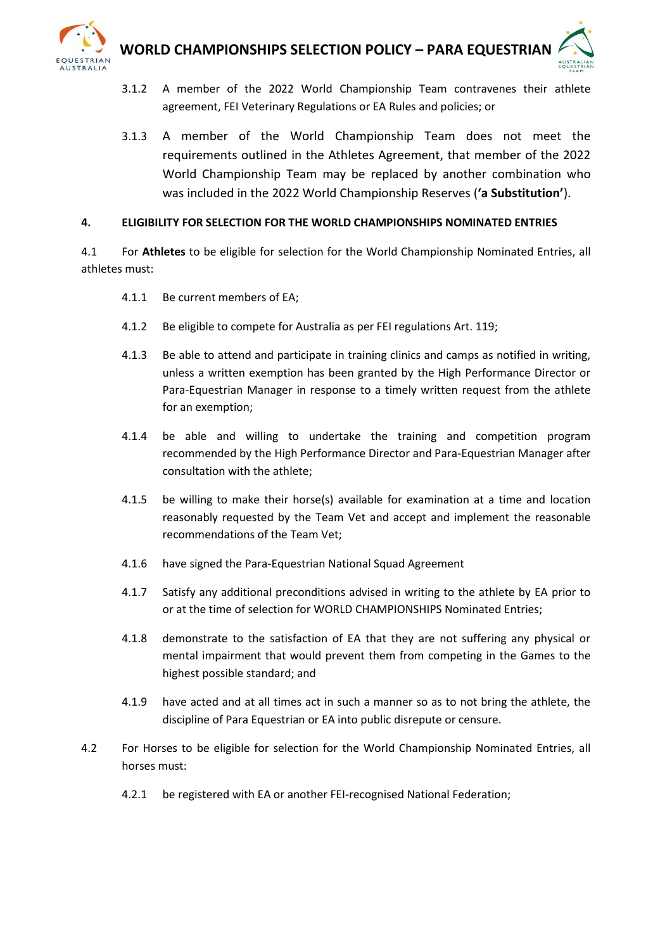

- 3.1.2 A member of the 2022 World Championship Team contravenes their athlete agreement, FEI Veterinary Regulations or EA Rules and policies; or
- 3.1.3 A member of the World Championship Team does not meet the requirements outlined in the Athletes Agreement, that member of the 2022 World Championship Team may be replaced by another combination who was included in the 2022 World Championship Reserves (**'a Substitution'**).

### **4. ELIGIBILITY FOR SELECTION FOR THE WORLD CHAMPIONSHIPS NOMINATED ENTRIES**

4.1 For **Athletes** to be eligible for selection for the World Championship Nominated Entries, all athletes must:

- 4.1.1 Be current members of EA;
- 4.1.2 Be eligible to compete for Australia as per FEI regulations Art. 119;
- 4.1.3 Be able to attend and participate in training clinics and camps as notified in writing, unless a written exemption has been granted by the High Performance Director or Para-Equestrian Manager in response to a timely written request from the athlete for an exemption;
- 4.1.4 be able and willing to undertake the training and competition program recommended by the High Performance Director and Para-Equestrian Manager after consultation with the athlete;
- 4.1.5 be willing to make their horse(s) available for examination at a time and location reasonably requested by the Team Vet and accept and implement the reasonable recommendations of the Team Vet;
- 4.1.6 have signed the Para-Equestrian National Squad Agreement
- 4.1.7 Satisfy any additional preconditions advised in writing to the athlete by EA prior to or at the time of selection for WORLD CHAMPIONSHIPS Nominated Entries;
- 4.1.8 demonstrate to the satisfaction of EA that they are not suffering any physical or mental impairment that would prevent them from competing in the Games to the highest possible standard; and
- 4.1.9 have acted and at all times act in such a manner so as to not bring the athlete, the discipline of Para Equestrian or EA into public disrepute or censure.
- 4.2 For Horses to be eligible for selection for the World Championship Nominated Entries, all horses must:
	- 4.2.1 be registered with EA or another FEI-recognised National Federation;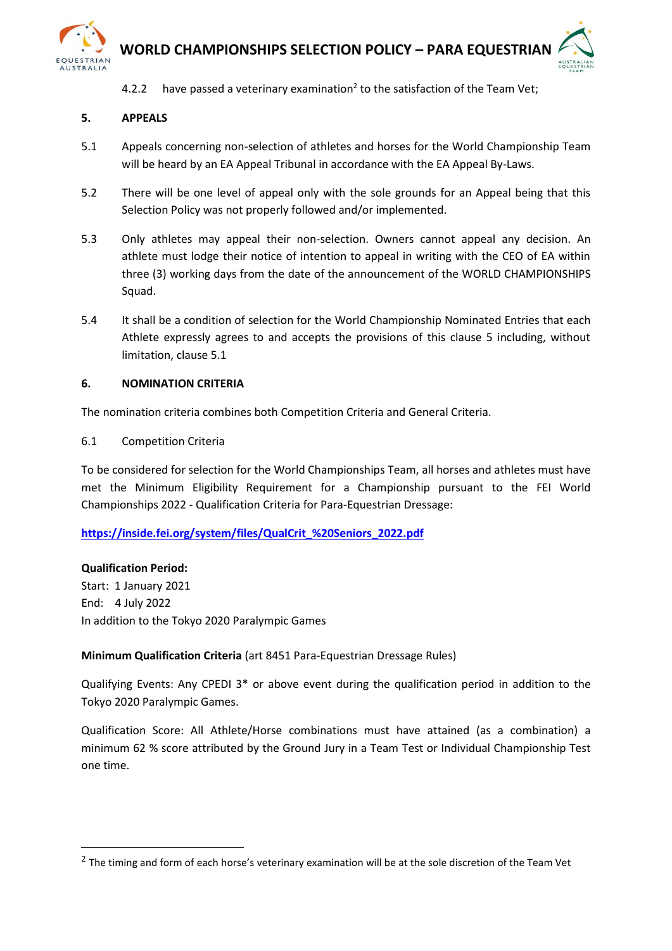

4.2.2 have passed a veterinary examination<sup>2</sup> to the satisfaction of the Team Vet;

## **5. APPEALS**

- 5.1 Appeals concerning non-selection of athletes and horses for the World Championship Team will be heard by an EA Appeal Tribunal in accordance with the EA Appeal By-Laws.
- 5.2 There will be one level of appeal only with the sole grounds for an Appeal being that this Selection Policy was not properly followed and/or implemented.
- 5.3 Only athletes may appeal their non-selection. Owners cannot appeal any decision. An athlete must lodge their notice of intention to appeal in writing with the CEO of EA within three (3) working days from the date of the announcement of the WORLD CHAMPIONSHIPS Squad.
- 5.4 It shall be a condition of selection for the World Championship Nominated Entries that each Athlete expressly agrees to and accepts the provisions of this clause 5 including, without limitation, clause 5.1

### **6. NOMINATION CRITERIA**

The nomination criteria combines both Competition Criteria and General Criteria.

### 6.1 Competition Criteria

To be considered for selection for the World Championships Team, all horses and athletes must have met the Minimum Eligibility Requirement for a Championship pursuant to the FEI World Championships 2022 - Qualification Criteria for Para-Equestrian Dressage:

## **[https://inside.fei.org/system/files/QualCrit\\_%20Seniors\\_2022.pdf](https://inside.fei.org/system/files/QualCrit_%20Seniors_2022.pdf)**

#### **Qualification Period:**

Start: 1 January 2021 End: 4 July 2022 In addition to the Tokyo 2020 Paralympic Games

## **Minimum Qualification Criteria** (art 8451 Para-Equestrian Dressage Rules)

Qualifying Events: Any CPEDI 3\* or above event during the qualification period in addition to the Tokyo 2020 Paralympic Games.

Qualification Score: All Athlete/Horse combinations must have attained (as a combination) a minimum 62 % score attributed by the Ground Jury in a Team Test or Individual Championship Test one time.

<sup>&</sup>lt;sup>2</sup> The timing and form of each horse's veterinary examination will be at the sole discretion of the Team Vet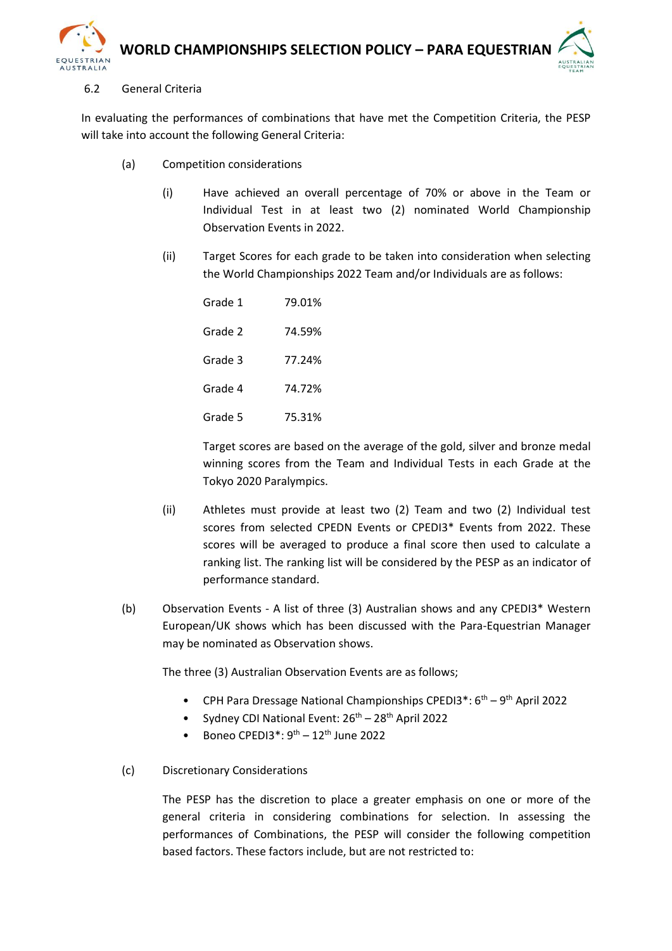

#### 6.2 General Criteria

In evaluating the performances of combinations that have met the Competition Criteria, the PESP will take into account the following General Criteria:

- (a) Competition considerations
	- (i) Have achieved an overall percentage of 70% or above in the Team or Individual Test in at least two (2) nominated World Championship Observation Events in 2022.
	- (ii) Target Scores for each grade to be taken into consideration when selecting the World Championships 2022 Team and/or Individuals are as follows:

Grade 1 79.01% Grade 2 74.59% Grade 3 77.24% Grade 4 74.72% Grade 5 75.31%

Target scores are based on the average of the gold, silver and bronze medal winning scores from the Team and Individual Tests in each Grade at the Tokyo 2020 Paralympics.

- (ii) Athletes must provide at least two (2) Team and two (2) Individual test scores from selected CPEDN Events or CPEDI3\* Events from 2022. These scores will be averaged to produce a final score then used to calculate a ranking list. The ranking list will be considered by the PESP as an indicator of performance standard.
- (b) Observation Events A list of three (3) Australian shows and any CPEDI3\* Western European/UK shows which has been discussed with the Para-Equestrian Manager may be nominated as Observation shows.

The three (3) Australian Observation Events are as follows;

- CPH Para Dressage National Championships CPEDI3\*:  $6<sup>th</sup> 9<sup>th</sup>$  April 2022
- Sydney CDI National Event:  $26<sup>th</sup> 28<sup>th</sup>$  April 2022
- Boneo CPEDI3<sup>\*</sup>:  $9<sup>th</sup> 12<sup>th</sup>$  June 2022

#### (c) Discretionary Considerations

The PESP has the discretion to place a greater emphasis on one or more of the general criteria in considering combinations for selection. In assessing the performances of Combinations, the PESP will consider the following competition based factors. These factors include, but are not restricted to: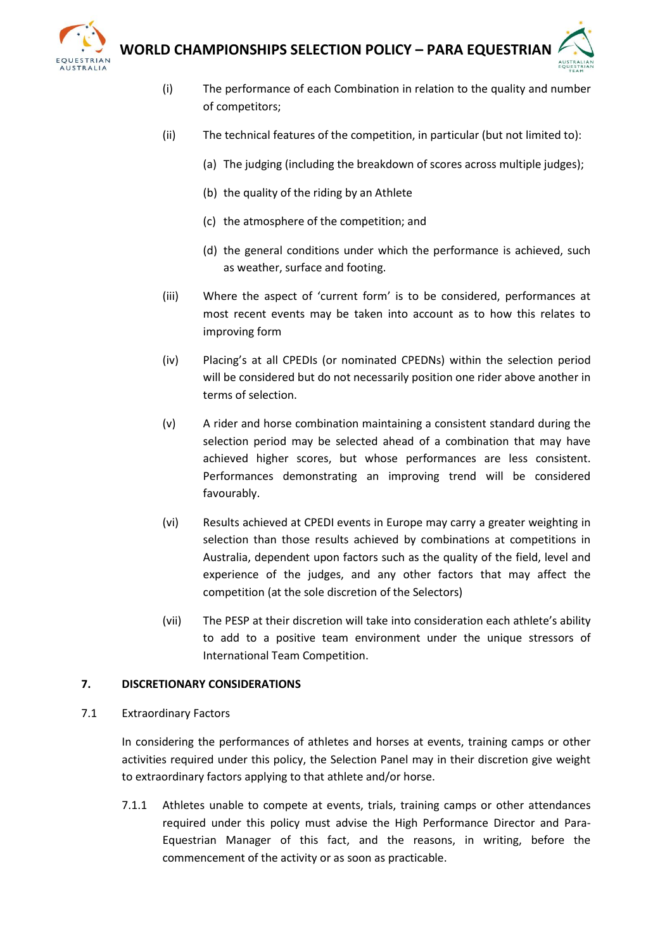

- (i) The performance of each Combination in relation to the quality and number of competitors;
- (ii) The technical features of the competition, in particular (but not limited to):
	- (a) The judging (including the breakdown of scores across multiple judges);
	- (b) the quality of the riding by an Athlete
	- (c) the atmosphere of the competition; and
	- (d) the general conditions under which the performance is achieved, such as weather, surface and footing.
- (iii) Where the aspect of 'current form' is to be considered, performances at most recent events may be taken into account as to how this relates to improving form
- (iv) Placing's at all CPEDIs (or nominated CPEDNs) within the selection period will be considered but do not necessarily position one rider above another in terms of selection.
- (v) A rider and horse combination maintaining a consistent standard during the selection period may be selected ahead of a combination that may have achieved higher scores, but whose performances are less consistent. Performances demonstrating an improving trend will be considered favourably.
- (vi) Results achieved at CPEDI events in Europe may carry a greater weighting in selection than those results achieved by combinations at competitions in Australia, dependent upon factors such as the quality of the field, level and experience of the judges, and any other factors that may affect the competition (at the sole discretion of the Selectors)
- (vii) The PESP at their discretion will take into consideration each athlete's ability to add to a positive team environment under the unique stressors of International Team Competition.

## **7. DISCRETIONARY CONSIDERATIONS**

7.1 Extraordinary Factors

In considering the performances of athletes and horses at events, training camps or other activities required under this policy, the Selection Panel may in their discretion give weight to extraordinary factors applying to that athlete and/or horse.

7.1.1 Athletes unable to compete at events, trials, training camps or other attendances required under this policy must advise the High Performance Director and Para-Equestrian Manager of this fact, and the reasons, in writing, before the commencement of the activity or as soon as practicable.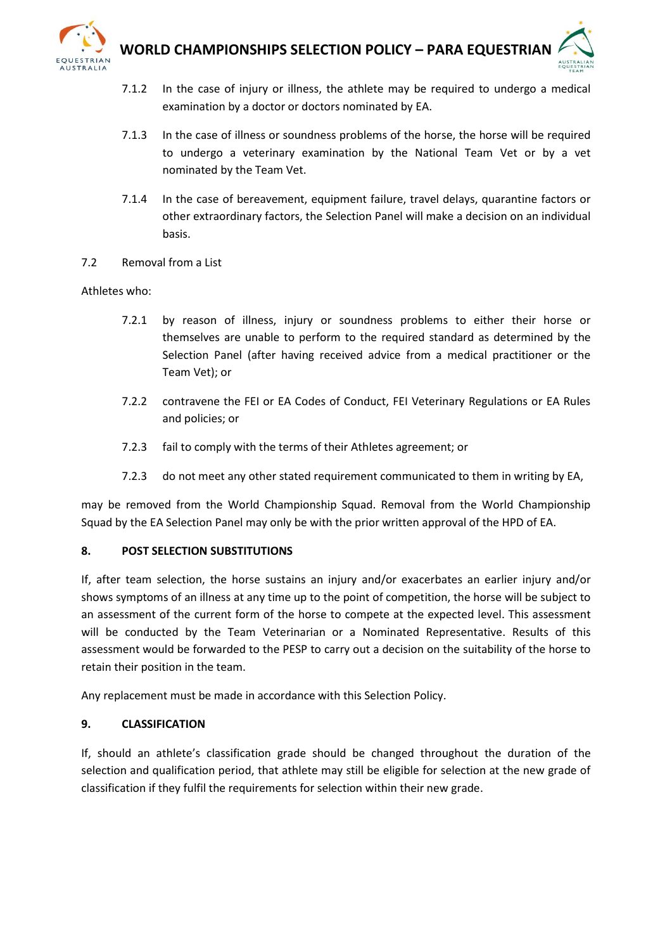



- 7.1.2 In the case of injury or illness, the athlete may be required to undergo a medical examination by a doctor or doctors nominated by EA.
- 7.1.3 In the case of illness or soundness problems of the horse, the horse will be required to undergo a veterinary examination by the National Team Vet or by a vet nominated by the Team Vet.
- 7.1.4 In the case of bereavement, equipment failure, travel delays, quarantine factors or other extraordinary factors, the Selection Panel will make a decision on an individual basis.
- 7.2 Removal from a List

### Athletes who:

- 7.2.1 by reason of illness, injury or soundness problems to either their horse or themselves are unable to perform to the required standard as determined by the Selection Panel (after having received advice from a medical practitioner or the Team Vet); or
- 7.2.2 contravene the FEI or EA Codes of Conduct, FEI Veterinary Regulations or EA Rules and policies; or
- 7.2.3 fail to comply with the terms of their Athletes agreement; or
- 7.2.3 do not meet any other stated requirement communicated to them in writing by EA,

may be removed from the World Championship Squad. Removal from the World Championship Squad by the EA Selection Panel may only be with the prior written approval of the HPD of EA.

#### **8. POST SELECTION SUBSTITUTIONS**

If, after team selection, the horse sustains an injury and/or exacerbates an earlier injury and/or shows symptoms of an illness at any time up to the point of competition, the horse will be subject to an assessment of the current form of the horse to compete at the expected level. This assessment will be conducted by the Team Veterinarian or a Nominated Representative. Results of this assessment would be forwarded to the PESP to carry out a decision on the suitability of the horse to retain their position in the team.

Any replacement must be made in accordance with this Selection Policy.

#### **9. CLASSIFICATION**

If, should an athlete's classification grade should be changed throughout the duration of the selection and qualification period, that athlete may still be eligible for selection at the new grade of classification if they fulfil the requirements for selection within their new grade.